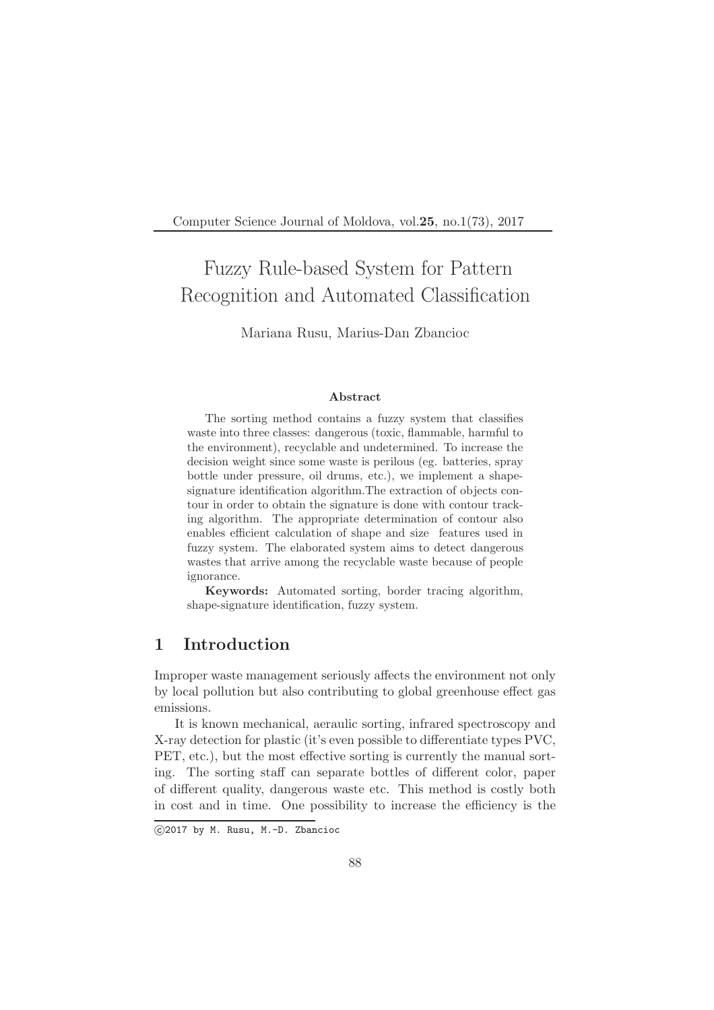Computer Science Journal of Moldova, vol.25, no.1(73), 2017

# Fuzzy Rule-based System for Pattern Recognition and Automated Classification

Mariana Rusu, Marius-Dan Zbancioc

#### Abstract

The sorting method contains a fuzzy system that classifies waste into three classes: dangerous (toxic, flammable, harmful to the environment), recyclable and undetermined. To increase the decision weight since some waste is perilous (eg. batteries, spray bottle under pressure, oil drums, etc.), we implement a shapesignature identification algorithm.The extraction of objects contour in order to obtain the signature is done with contour tracking algorithm. The appropriate determination of contour also enables efficient calculation of shape and size features used in fuzzy system. The elaborated system aims to detect dangerous wastes that arrive among the recyclable waste because of people ignorance.

Keywords: Automated sorting, border tracing algorithm, shape-signature identification, fuzzy system.

# 1 Introduction

Improper waste management seriously affects the environment not only by local pollution but also contributing to global greenhouse effect gas emissions.

It is known mechanical, aeraulic sorting, infrared spectroscopy and X-ray detection for plastic (it's even possible to differentiate types PVC, PET, etc.), but the most effective sorting is currently the manual sorting. The sorting staff can separate bottles of different color, paper of different quality, dangerous waste etc. This method is costly both in cost and in time. One possibility to increase the efficiency is the

c 2017 by M. Rusu, M.-D. Zbancioc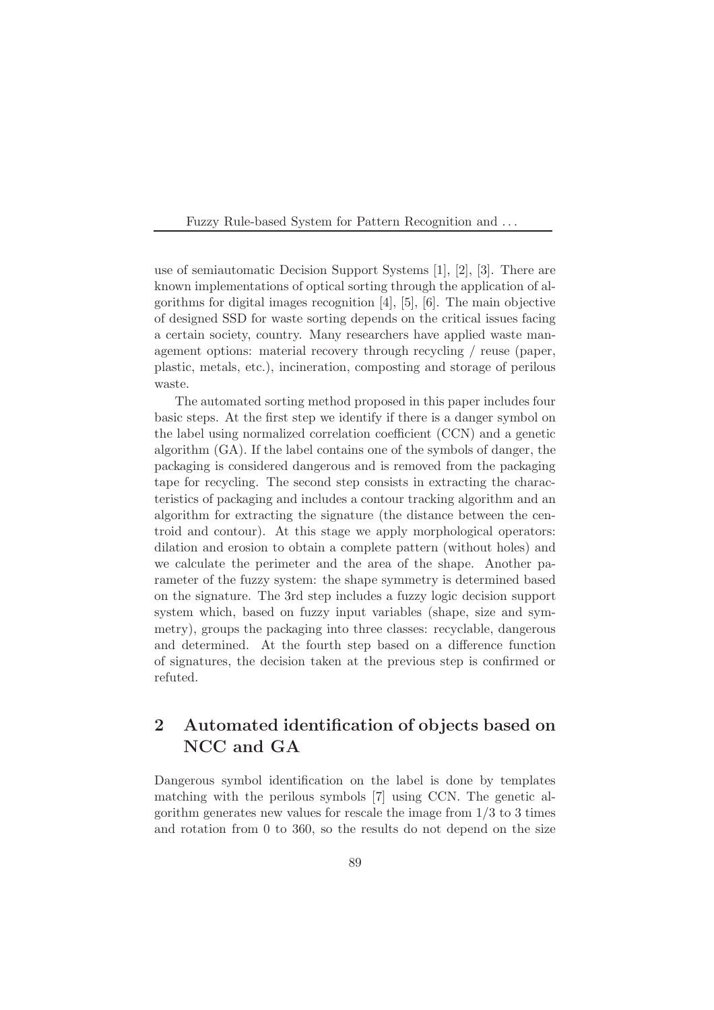use of semiautomatic Decision Support Systems [1], [2], [3]. There are known implementations of optical sorting through the application of algorithms for digital images recognition [4], [5], [6]. The main objective of designed SSD for waste sorting depends on the critical issues facing a certain society, country. Many researchers have applied waste management options: material recovery through recycling / reuse (paper, plastic, metals, etc.), incineration, composting and storage of perilous waste.

The automated sorting method proposed in this paper includes four basic steps. At the first step we identify if there is a danger symbol on the label using normalized correlation coefficient (CCN) and a genetic algorithm (GA). If the label contains one of the symbols of danger, the packaging is considered dangerous and is removed from the packaging tape for recycling. The second step consists in extracting the characteristics of packaging and includes a contour tracking algorithm and an algorithm for extracting the signature (the distance between the centroid and contour). At this stage we apply morphological operators: dilation and erosion to obtain a complete pattern (without holes) and we calculate the perimeter and the area of the shape. Another parameter of the fuzzy system: the shape symmetry is determined based on the signature. The 3rd step includes a fuzzy logic decision support system which, based on fuzzy input variables (shape, size and symmetry), groups the packaging into three classes: recyclable, dangerous and determined. At the fourth step based on a difference function of signatures, the decision taken at the previous step is confirmed or refuted.

# 2 Automated identification of objects based on NCC and GA

Dangerous symbol identification on the label is done by templates matching with the perilous symbols [7] using CCN. The genetic algorithm generates new values for rescale the image from  $1/3$  to 3 times and rotation from 0 to 360, so the results do not depend on the size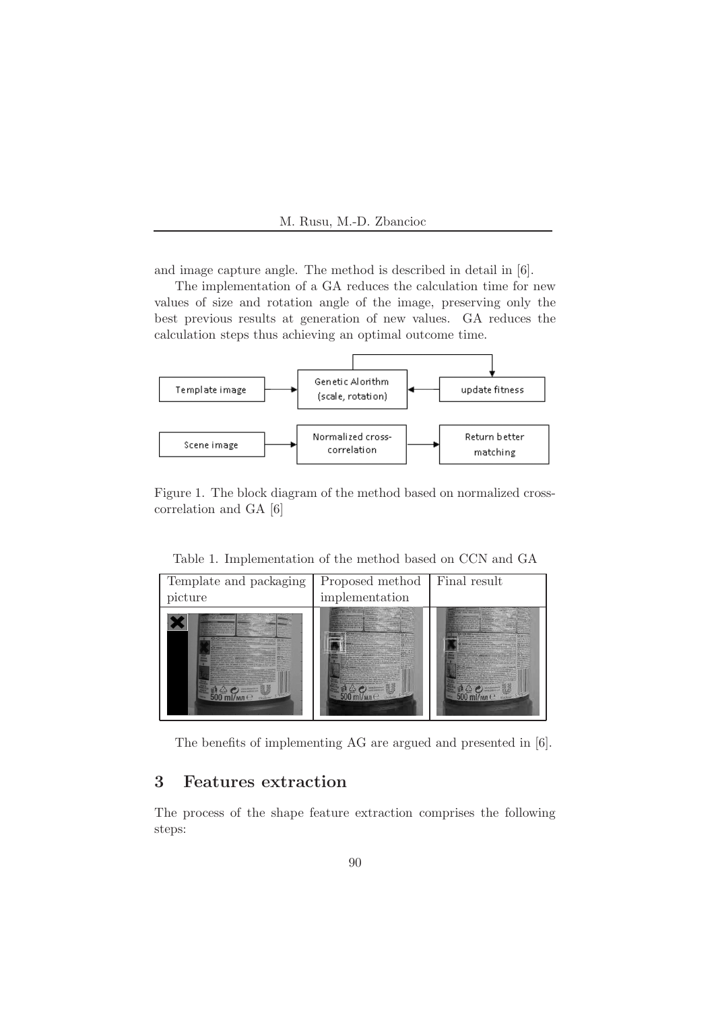

and image capture angle. The method is described in detail in [6].

The implementation of a GA reduces the calculation time for new values of size and rotation angle of the image, preserving only the best previous results at generation of new values. GA reduces the calculation steps thus achieving an optimal outcome time.



Figure 1. The block diagram of the method based on normalized crosscorrelation and GA [6]

Table 1. Implementation of the method based on CCN and GA



The benefits of implementing AG are argued and presented in [6].

# 3 Features extraction

The process of the shape feature extraction comprises the following steps: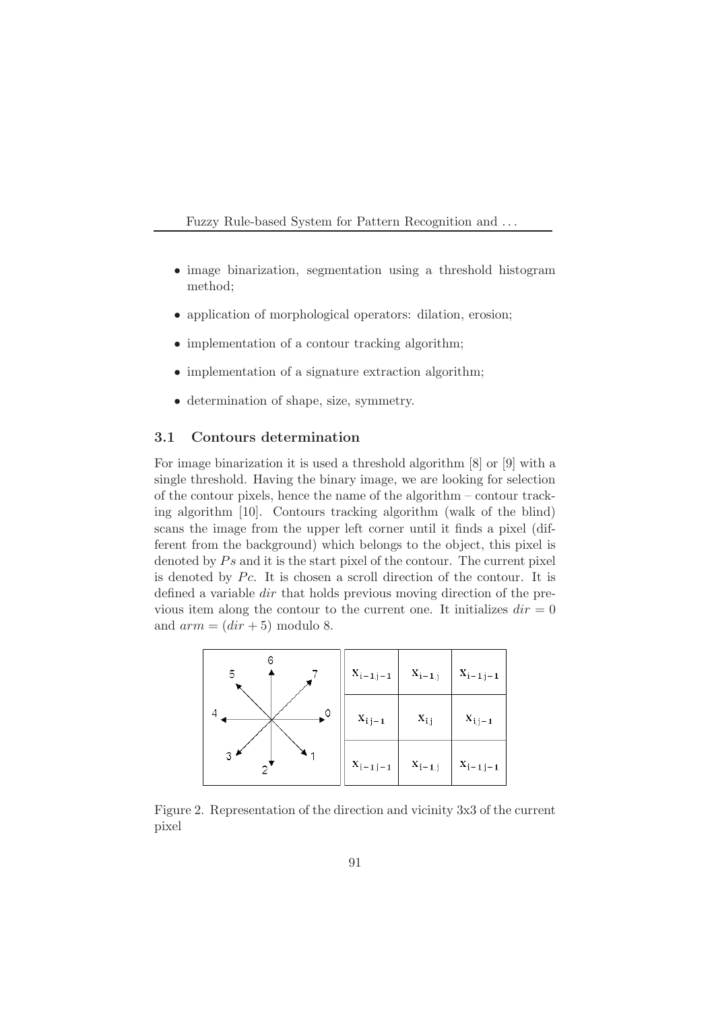- image binarization, segmentation using a threshold histogram method;
- application of morphological operators: dilation, erosion;
- implementation of a contour tracking algorithm;
- implementation of a signature extraction algorithm;
- determination of shape, size, symmetry.

#### 3.1 Contours determination

For image binarization it is used a threshold algorithm [8] or [9] with a single threshold. Having the binary image, we are looking for selection of the contour pixels, hence the name of the algorithm – contour tracking algorithm [10]. Contours tracking algorithm (walk of the blind) scans the image from the upper left corner until it finds a pixel (different from the background) which belongs to the object, this pixel is denoted by  $Ps$  and it is the start pixel of the contour. The current pixel is denoted by  $Pc$ . It is chosen a scroll direction of the contour. It is defined a variable dir that holds previous moving direction of the previous item along the contour to the current one. It initializes  $dir = 0$ and  $arm = (dir + 5)$  modulo 8.



Figure 2. Representation of the direction and vicinity 3x3 of the current pixel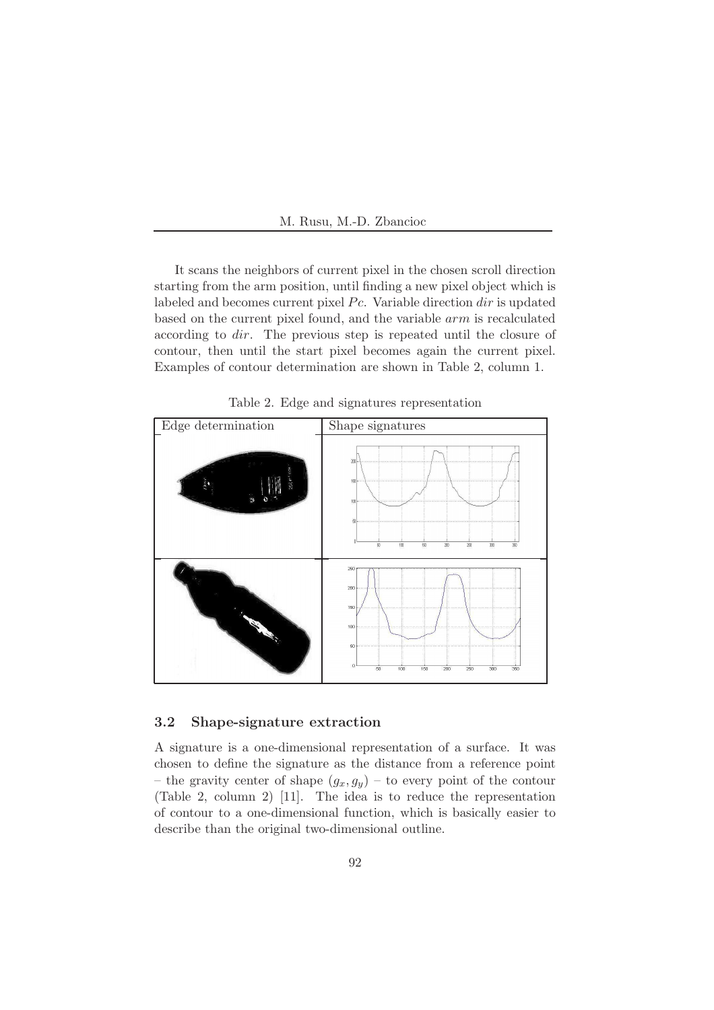

It scans the neighbors of current pixel in the chosen scroll direction starting from the arm position, until finding a new pixel object which is labeled and becomes current pixel  $P_c$ . Variable direction dir is updated based on the current pixel found, and the variable arm is recalculated according to dir. The previous step is repeated until the closure of contour, then until the start pixel becomes again the current pixel. Examples of contour determination are shown in Table 2, column 1.



Table 2. Edge and signatures representation

#### 3.2 Shape-signature extraction

A signature is a one-dimensional representation of a surface. It was chosen to define the signature as the distance from a reference point – the gravity center of shape  $(g_x, g_y)$  – to every point of the contour (Table 2, column 2) [11]. The idea is to reduce the representation of contour to a one-dimensional function, which is basically easier to describe than the original two-dimensional outline.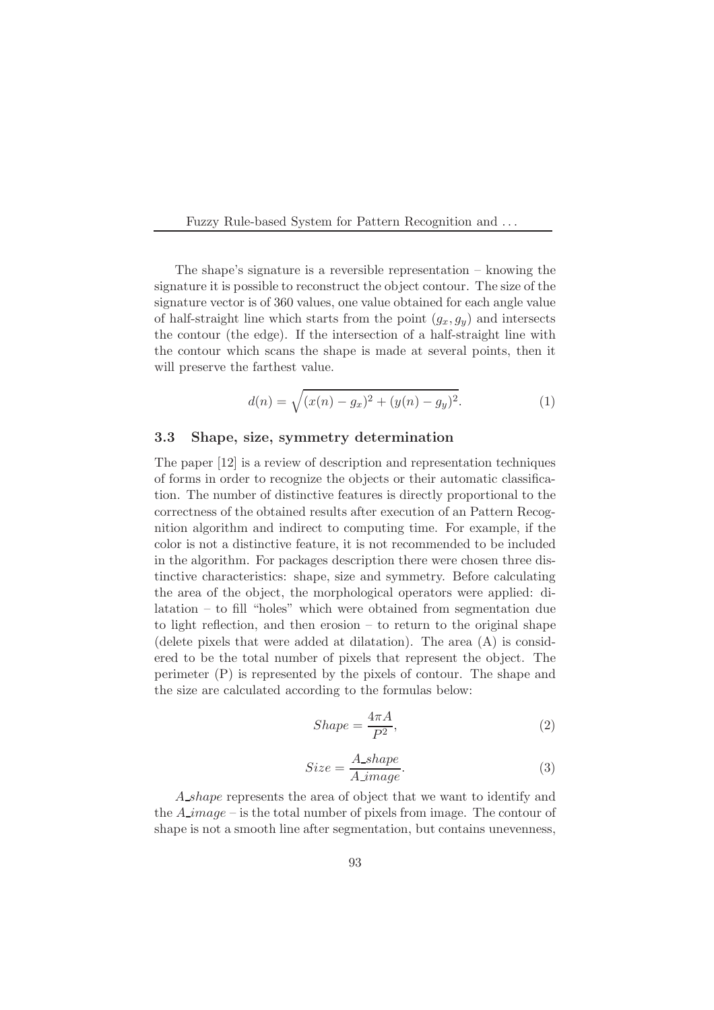The shape's signature is a reversible representation – knowing the signature it is possible to reconstruct the object contour. The size of the signature vector is of 360 values, one value obtained for each angle value of half-straight line which starts from the point  $(g_x, g_y)$  and intersects the contour (the edge). If the intersection of a half-straight line with the contour which scans the shape is made at several points, then it will preserve the farthest value.

$$
d(n) = \sqrt{(x(n) - g_x)^2 + (y(n) - g_y)^2}.
$$
 (1)

#### 3.3 Shape, size, symmetry determination

The paper [12] is a review of description and representation techniques of forms in order to recognize the objects or their automatic classification. The number of distinctive features is directly proportional to the correctness of the obtained results after execution of an Pattern Recognition algorithm and indirect to computing time. For example, if the color is not a distinctive feature, it is not recommended to be included in the algorithm. For packages description there were chosen three distinctive characteristics: shape, size and symmetry. Before calculating the area of the object, the morphological operators were applied: dilatation – to fill "holes" which were obtained from segmentation due to light reflection, and then erosion – to return to the original shape (delete pixels that were added at dilatation). The area (A) is considered to be the total number of pixels that represent the object. The perimeter (P) is represented by the pixels of contour. The shape and the size are calculated according to the formulas below:

$$
Shape = \frac{4\pi A}{P^2},\tag{2}
$$

$$
Size = \frac{A\_shape}{A\_image}.\tag{3}
$$

A shape represents the area of object that we want to identify and the  $A$ -image – is the total number of pixels from image. The contour of shape is not a smooth line after segmentation, but contains unevenness,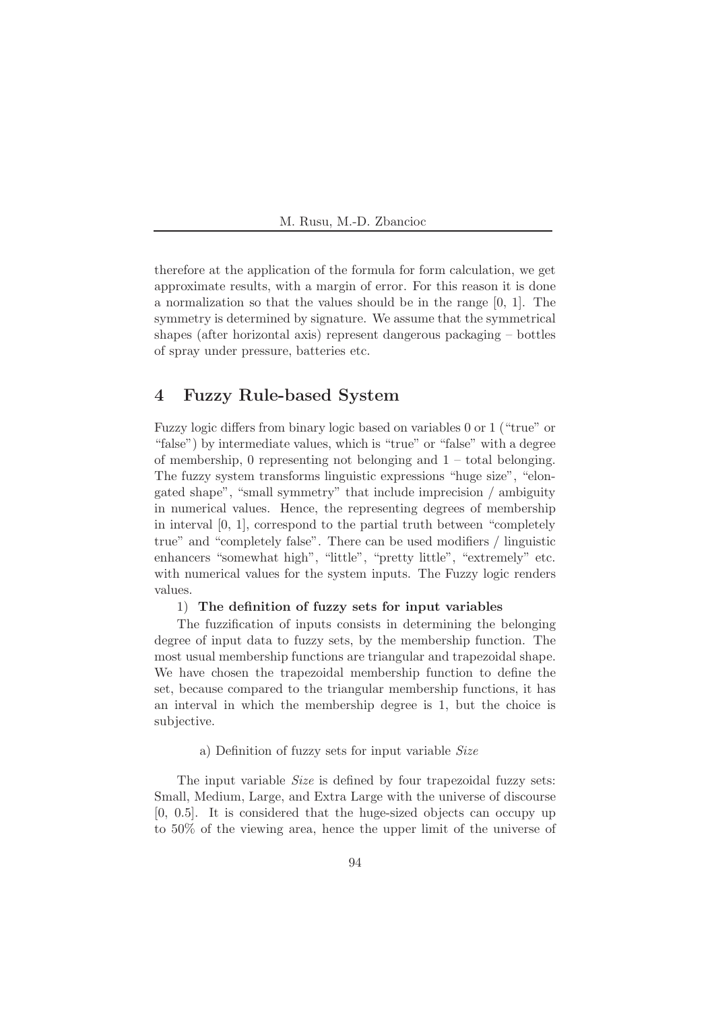therefore at the application of the formula for form calculation, we get approximate results, with a margin of error. For this reason it is done a normalization so that the values should be in the range [0, 1]. The symmetry is determined by signature. We assume that the symmetrical shapes (after horizontal axis) represent dangerous packaging – bottles of spray under pressure, batteries etc.

# 4 Fuzzy Rule-based System

Fuzzy logic differs from binary logic based on variables 0 or 1 ("true" or "false") by intermediate values, which is "true" or "false" with a degree of membership,  $\theta$  representing not belonging and  $1$  – total belonging. The fuzzy system transforms linguistic expressions "huge size", "elongated shape", "small symmetry" that include imprecision / ambiguity in numerical values. Hence, the representing degrees of membership in interval [0, 1], correspond to the partial truth between "completely true" and "completely false". There can be used modifiers / linguistic enhancers "somewhat high", "little", "pretty little", "extremely" etc. with numerical values for the system inputs. The Fuzzy logic renders values.

#### 1) The definition of fuzzy sets for input variables

The fuzzification of inputs consists in determining the belonging degree of input data to fuzzy sets, by the membership function. The most usual membership functions are triangular and trapezoidal shape. We have chosen the trapezoidal membership function to define the set, because compared to the triangular membership functions, it has an interval in which the membership degree is 1, but the choice is subjective.

#### a) Definition of fuzzy sets for input variable *Size*

The input variable *Size* is defined by four trapezoidal fuzzy sets: Small, Medium, Large, and Extra Large with the universe of discourse [0, 0.5]. It is considered that the huge-sized objects can occupy up to 50% of the viewing area, hence the upper limit of the universe of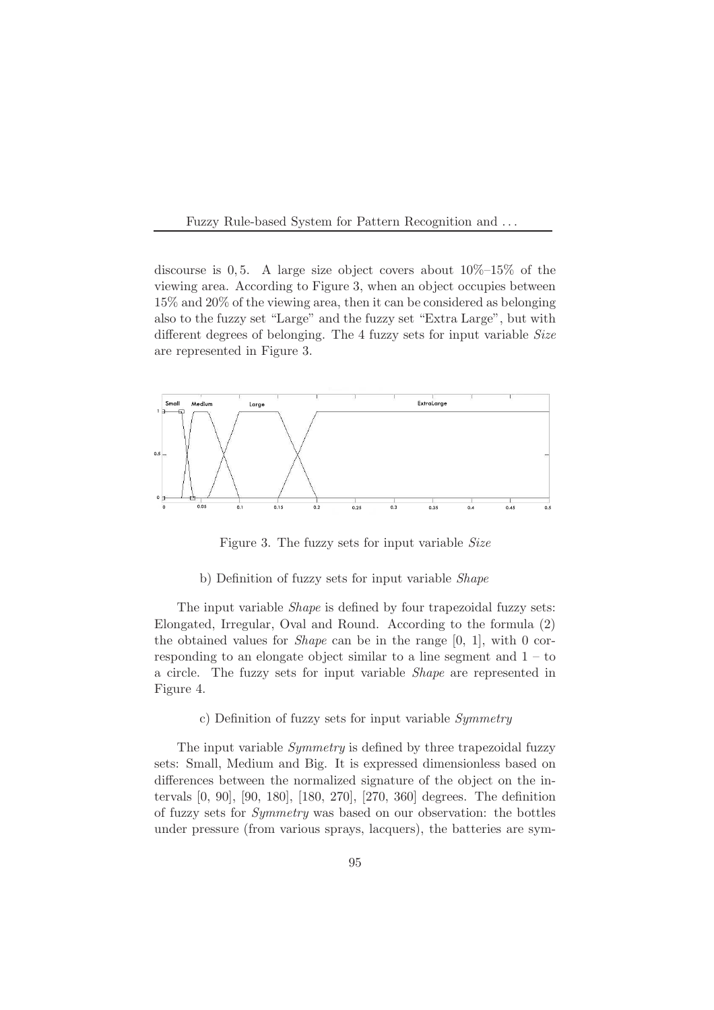

discourse is 0, 5. A large size object covers about  $10\%$ -15% of the viewing area. According to Figure 3, when an object occupies between 15% and 20% of the viewing area, then it can be considered as belonging also to the fuzzy set "Large" and the fuzzy set "Extra Large", but with different degrees of belonging. The 4 fuzzy sets for input variable *Size* are represented in Figure 3.



Figure 3. The fuzzy sets for input variable *Size*

b) Definition of fuzzy sets for input variable *Shape*

The input variable *Shape* is defined by four trapezoidal fuzzy sets: Elongated, Irregular, Oval and Round. According to the formula (2) the obtained values for *Shape* can be in the range [0, 1], with 0 corresponding to an elongate object similar to a line segment and  $1 -$  to a circle. The fuzzy sets for input variable *Shape* are represented in Figure 4.

#### c) Definition of fuzzy sets for input variable *Symmetry*

The input variable *Symmetry* is defined by three trapezoidal fuzzy sets: Small, Medium and Big. It is expressed dimensionless based on differences between the normalized signature of the object on the intervals [0, 90], [90, 180], [180, 270], [270, 360] degrees. The definition of fuzzy sets for *Symmetry* was based on our observation: the bottles under pressure (from various sprays, lacquers), the batteries are sym-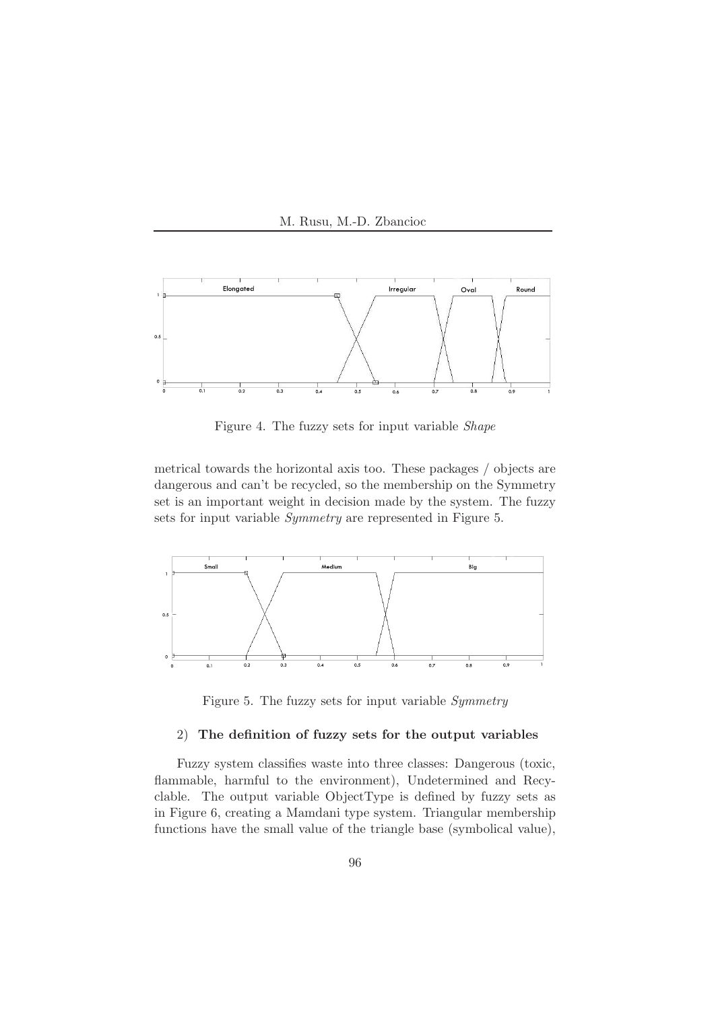



Figure 4. The fuzzy sets for input variable *Shape*

metrical towards the horizontal axis too. These packages / objects are dangerous and can't be recycled, so the membership on the Symmetry set is an important weight in decision made by the system. The fuzzy sets for input variable *Symmetry* are represented in Figure 5.



Figure 5. The fuzzy sets for input variable *Symmetry*

#### 2) The definition of fuzzy sets for the output variables

Fuzzy system classifies waste into three classes: Dangerous (toxic, flammable, harmful to the environment), Undetermined and Recyclable. The output variable ObjectType is defined by fuzzy sets as in Figure 6, creating a Mamdani type system. Triangular membership functions have the small value of the triangle base (symbolical value),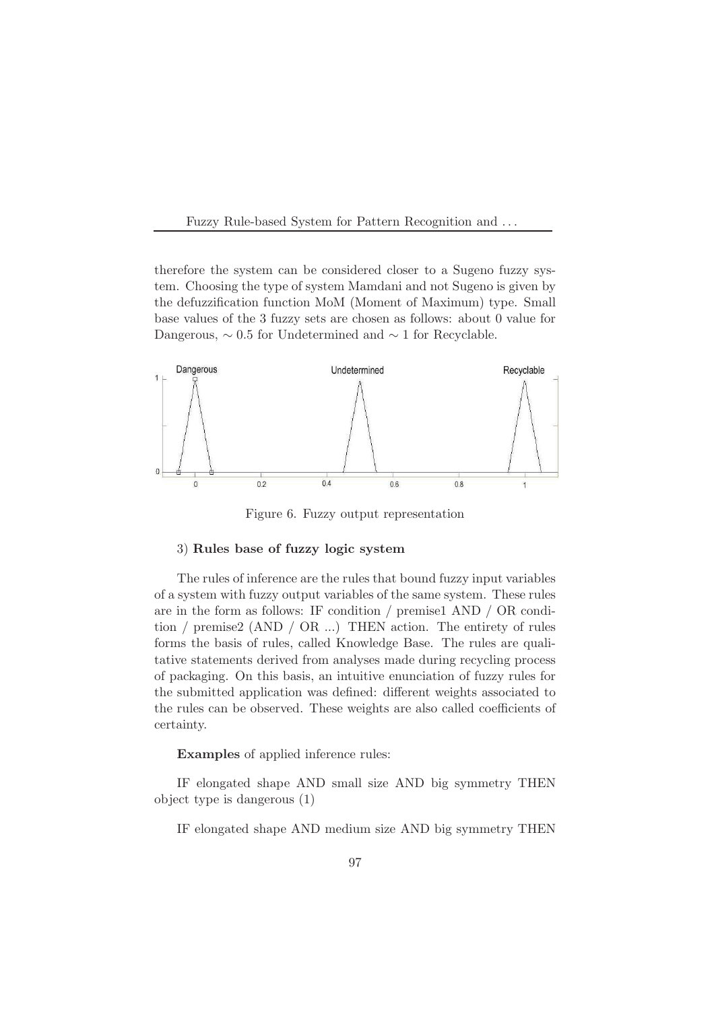

therefore the system can be considered closer to a Sugeno fuzzy system. Choosing the type of system Mamdani and not Sugeno is given by the defuzzification function MoM (Moment of Maximum) type. Small base values of the 3 fuzzy sets are chosen as follows: about 0 value for Dangerous,  $\sim 0.5$  for Undetermined and  $\sim 1$  for Recyclable.



Figure 6. Fuzzy output representation

#### 3) Rules base of fuzzy logic system

The rules of inference are the rules that bound fuzzy input variables of a system with fuzzy output variables of the same system. These rules are in the form as follows: IF condition / premise1 AND / OR condition / premise2 (AND / OR ...) THEN action. The entirety of rules forms the basis of rules, called Knowledge Base. The rules are qualitative statements derived from analyses made during recycling process of packaging. On this basis, an intuitive enunciation of fuzzy rules for the submitted application was defined: different weights associated to the rules can be observed. These weights are also called coefficients of certainty.

Examples of applied inference rules:

IF elongated shape AND small size AND big symmetry THEN object type is dangerous (1)

IF elongated shape AND medium size AND big symmetry THEN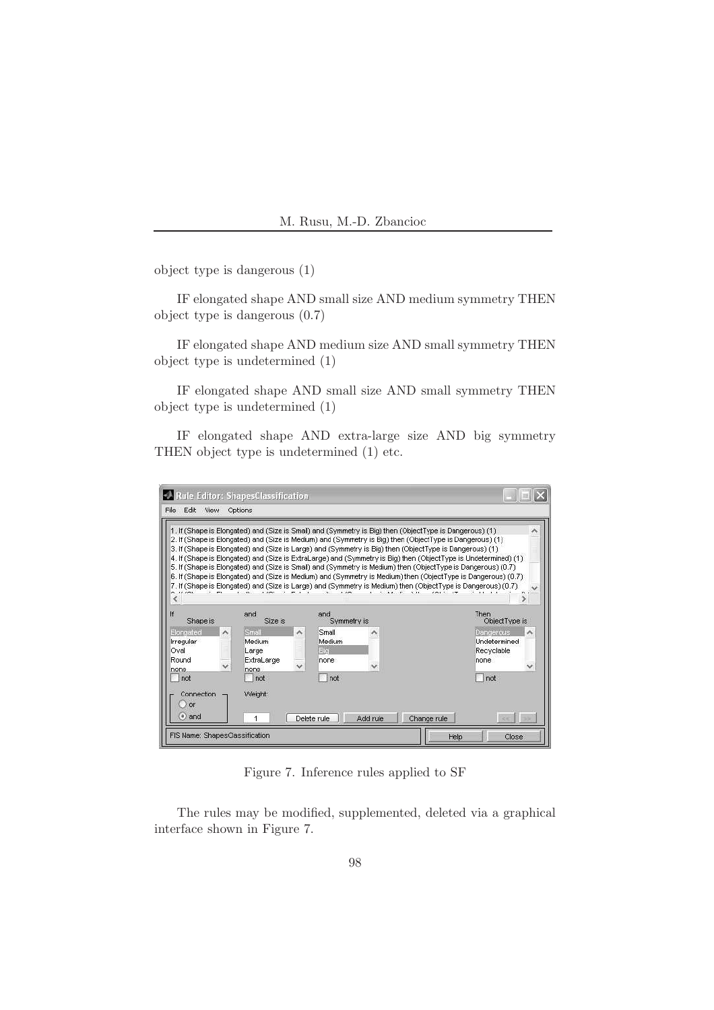object type is dangerous (1)

IF elongated shape AND small size AND medium symmetry THEN object type is dangerous (0.7)

IF elongated shape AND medium size AND small symmetry THEN object type is undetermined (1)

IF elongated shape AND small size AND small symmetry THEN object type is undetermined (1)

IF elongated shape AND extra-large size AND big symmetry THEN object type is undetermined (1) etc.

|                                                                        |                                                                                              | 1. If (Shape is Elongated) and (Size is Small) and (Symmetry is Big) then (ObjectType is Dangerous) (1)<br>2. If (Shape is Elongated) and (Size is Medium) and (Symmetry is Big) then (ObjectType is Dangerous) (1):<br>3. If (Shape is Elongated) and (Size is Large) and (Symmetry is Big) then (ObjectType is Dangerous) (1).<br>4. If (Shape is Elongated) and (Size is ExtraLarge) and (Symmetry is Big) then (ObjectType is Undetermined) (1)<br>5. If (Shape is Elongated) and (Size is Small) and (Symmetry is Medium) then (ObjectType is Dangerous) (0.7)<br>[6. If (Shape is Elongated) and (Size is Medium) and (Symmetry is Medium) then (ObjectType is Dangerous) (0.7)<br>7. If (Shape is Elongated) and (Size is Large) and (Symmetry is Medium) then (ObjectType is Dangerous) (0.7). |                                                                      |
|------------------------------------------------------------------------|----------------------------------------------------------------------------------------------|--------------------------------------------------------------------------------------------------------------------------------------------------------------------------------------------------------------------------------------------------------------------------------------------------------------------------------------------------------------------------------------------------------------------------------------------------------------------------------------------------------------------------------------------------------------------------------------------------------------------------------------------------------------------------------------------------------------------------------------------------------------------------------------------------------|----------------------------------------------------------------------|
| lf<br>Shape is                                                         | and<br>Size is                                                                               | and<br>Symmetry is                                                                                                                                                                                                                                                                                                                                                                                                                                                                                                                                                                                                                                                                                                                                                                                     | <b>Then</b><br>ObjectType is                                         |
| Elongated<br>$\hat{\phantom{a}}$<br>Irregular<br>Oval<br>Round<br>none | Small<br>$\boldsymbol{\mathcal{N}}$<br>Medium<br>Large<br>ExtraLarge<br>$\checkmark$<br>none | Small<br>Medium<br>Big.<br>none                                                                                                                                                                                                                                                                                                                                                                                                                                                                                                                                                                                                                                                                                                                                                                        | Dangerous<br>∼<br>Undetermined<br>Recyclable<br>none<br>$\checkmark$ |
| not<br>Connection<br><b>or</b><br>$\bullet$ and                        | not<br>Weight:<br>1                                                                          | not<br>Add rule<br>Delete rule                                                                                                                                                                                                                                                                                                                                                                                                                                                                                                                                                                                                                                                                                                                                                                         | not<br>Change rule<br>×.                                             |

Figure 7. Inference rules applied to SF

The rules may be modified, supplemented, deleted via a graphical interface shown in Figure 7.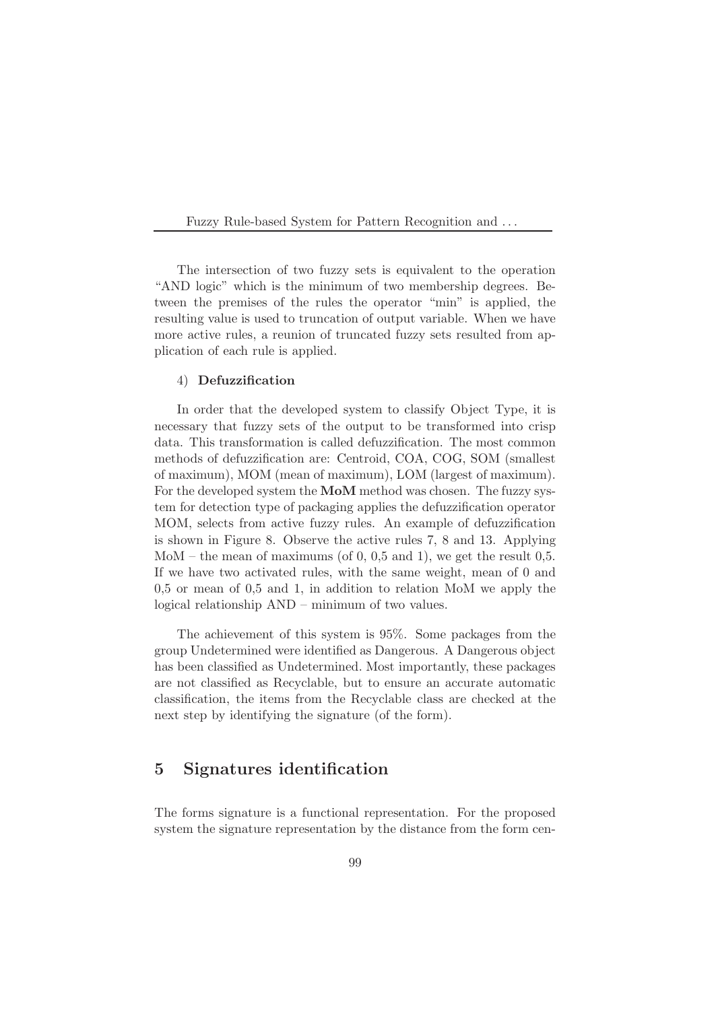

The intersection of two fuzzy sets is equivalent to the operation "AND logic" which is the minimum of two membership degrees. Between the premises of the rules the operator "min" is applied, the resulting value is used to truncation of output variable. When we have more active rules, a reunion of truncated fuzzy sets resulted from application of each rule is applied.

#### 4) Defuzzification

In order that the developed system to classify Object Type, it is necessary that fuzzy sets of the output to be transformed into crisp data. This transformation is called defuzzification. The most common methods of defuzzification are: Centroid, COA, COG, SOM (smallest of maximum), MOM (mean of maximum), LOM (largest of maximum). For the developed system the MoM method was chosen. The fuzzy system for detection type of packaging applies the defuzzification operator MOM, selects from active fuzzy rules. An example of defuzzification is shown in Figure 8. Observe the active rules 7, 8 and 13. Applying MoM – the mean of maximums (of 0, 0,5 and 1), we get the result 0,5. If we have two activated rules, with the same weight, mean of 0 and 0,5 or mean of 0,5 and 1, in addition to relation MoM we apply the logical relationship AND – minimum of two values.

The achievement of this system is 95%. Some packages from the group Undetermined were identified as Dangerous. A Dangerous object has been classified as Undetermined. Most importantly, these packages are not classified as Recyclable, but to ensure an accurate automatic classification, the items from the Recyclable class are checked at the next step by identifying the signature (of the form).

# 5 Signatures identification

The forms signature is a functional representation. For the proposed system the signature representation by the distance from the form cen-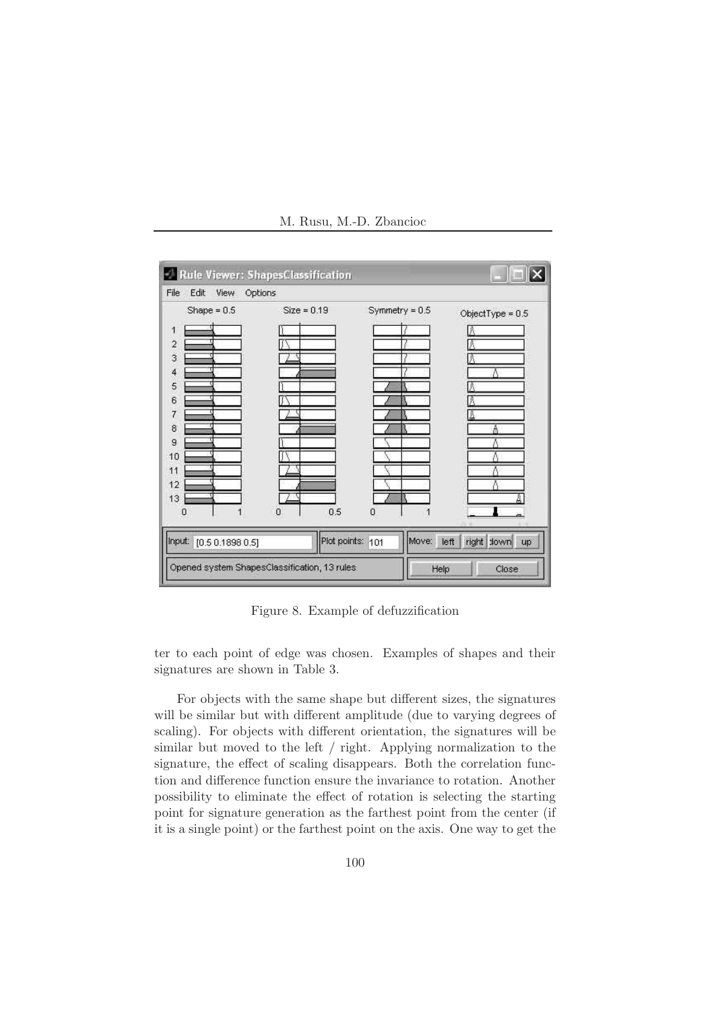

M. Rusu, M.-D. Zbancioc

Figure 8. Example of defuzzification

ter to each point of edge was chosen. Examples of shapes and their signatures are shown in Table 3.

For objects with the same shape but different sizes, the signatures will be similar but with different amplitude (due to varying degrees of scaling). For objects with different orientation, the signatures will be similar but moved to the left / right. Applying normalization to the signature, the effect of scaling disappears. Both the correlation function and difference function ensure the invariance to rotation. Another possibility to eliminate the effect of rotation is selecting the starting point for signature generation as the farthest point from the center (if it is a single point) or the farthest point on the axis. One way to get the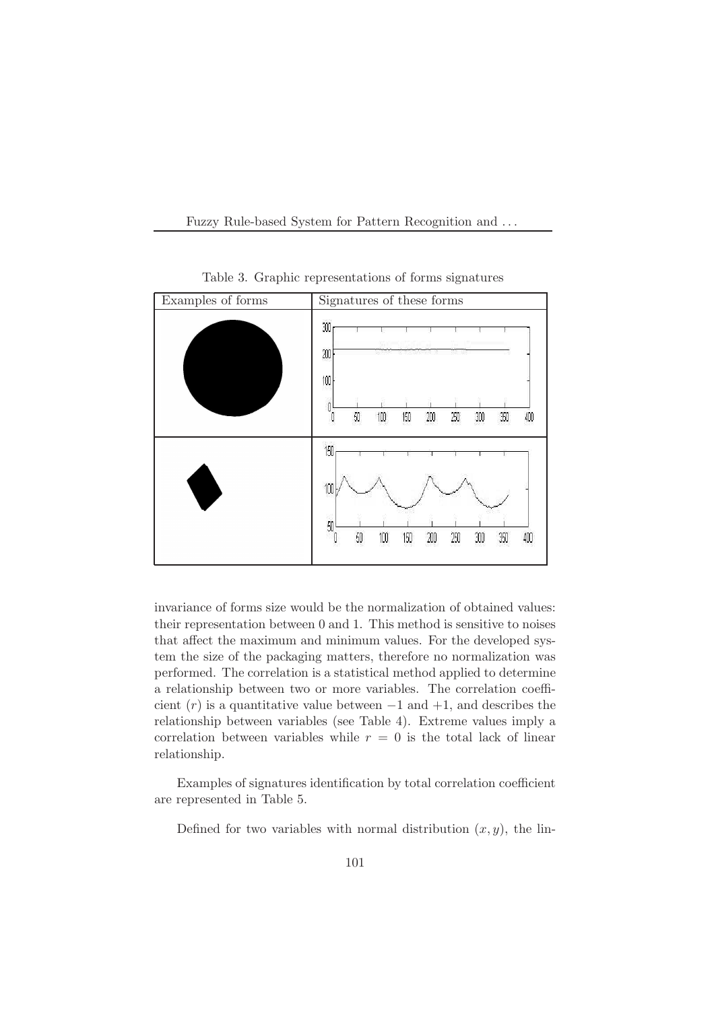



Table 3. Graphic representations of forms signatures

invariance of forms size would be the normalization of obtained values: their representation between 0 and 1. This method is sensitive to noises that affect the maximum and minimum values. For the developed system the size of the packaging matters, therefore no normalization was performed. The correlation is a statistical method applied to determine a relationship between two or more variables. The correlation coefficient  $(r)$  is a quantitative value between  $-1$  and  $+1$ , and describes the relationship between variables (see Table 4). Extreme values imply a correlation between variables while  $r = 0$  is the total lack of linear relationship.

Examples of signatures identification by total correlation coefficient are represented in Table 5.

Defined for two variables with normal distribution  $(x, y)$ , the lin-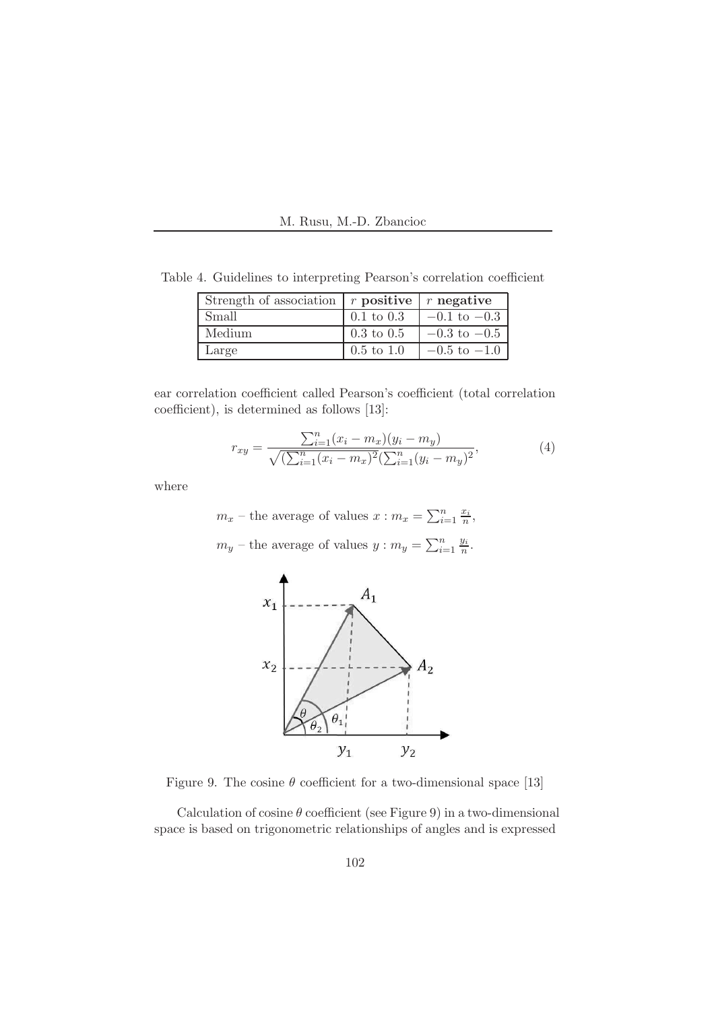M. Rusu, M.-D. Zbancioc

| Strength of association $\mid r$ positive $\mid r$ negative |                       |                                     |
|-------------------------------------------------------------|-----------------------|-------------------------------------|
| Small                                                       | $0.1 \text{ to } 0.3$ | $-0.1 \text{ to } -0.3$             |
| Medium                                                      | $0.3 \text{ to } 0.5$ | $-0.3$ to $-0.5$                    |
| Large                                                       | $0.5 \text{ to } 1.0$ | $\vert -0.5 \text{ to } -1.0 \vert$ |

Table 4. Guidelines to interpreting Pearson's correlation coefficient

ear correlation coefficient called Pearson's coefficient (total correlation coefficient), is determined as follows [13]:

$$
r_{xy} = \frac{\sum_{i=1}^{n} (x_i - m_x)(y_i - m_y)}{\sqrt{(\sum_{i=1}^{n} (x_i - m_x)^2 (\sum_{i=1}^{n} (y_i - m_y)^2)}},
$$
(4)

where

 $m_x$  – the average of values  $x : m_x = \sum_{i=1}^n \frac{x_i}{n}$  $\frac{x_i}{n},$  $m_y$  – the average of values  $y : m_y = \sum_{i=1}^n \frac{y_i}{n}$  $\frac{y_i}{n}$  .



Figure 9. The cosine  $\theta$  coefficient for a two-dimensional space [13]

Calculation of cosine  $\theta$  coefficient (see Figure 9) in a two-dimensional space is based on trigonometric relationships of angles and is expressed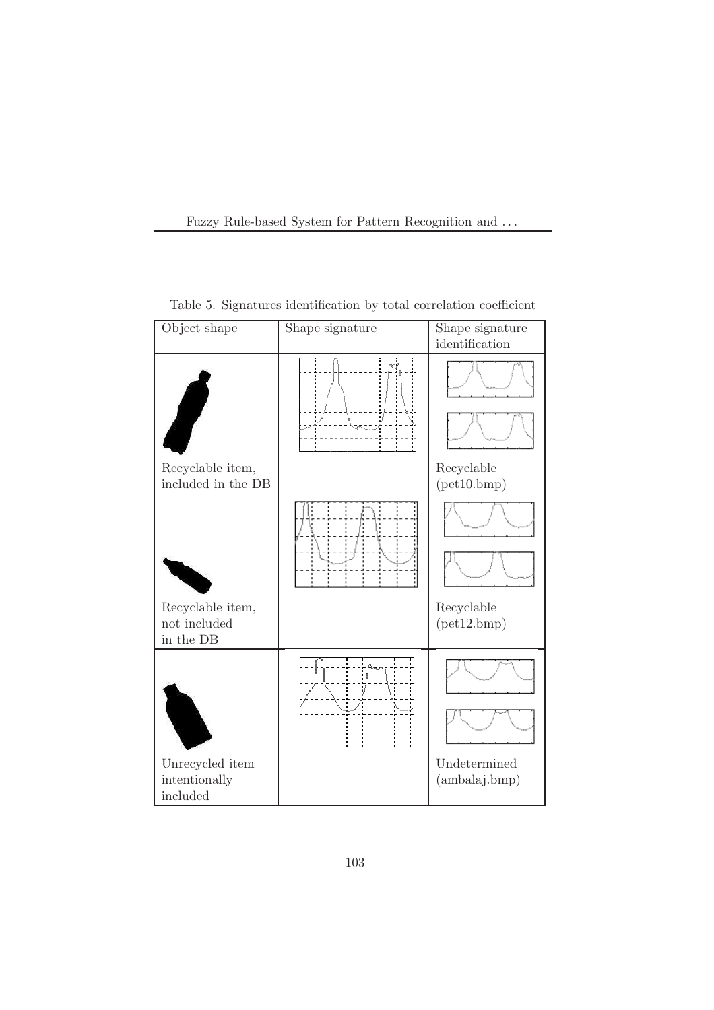| Object shape                           | Shape signature | Shape signature           |
|----------------------------------------|-----------------|---------------------------|
|                                        |                 | identification            |
|                                        |                 |                           |
| Recyclable item,<br>included in the DB |                 | Recyclable<br>(pet10.bmp) |
| Recyclable item,<br>not included       |                 | Recyclable<br>(pet12.bmp) |
| in the DB<br>Unrecycled item           |                 | Undetermined              |
| intentionally<br>included              |                 | (ambalaj.bmp)             |

Table 5. Signatures identification by total correlation coefficient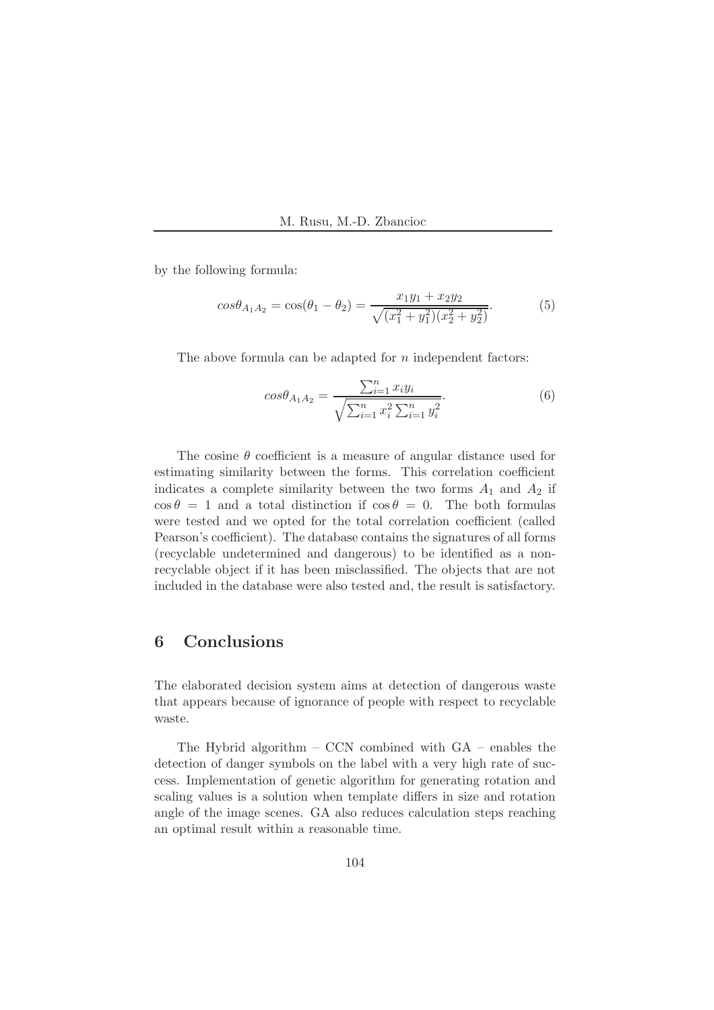by the following formula:

$$
cos\theta_{A_1A_2} = cos(\theta_1 - \theta_2) = \frac{x_1y_1 + x_2y_2}{\sqrt{(x_1^2 + y_1^2)(x_2^2 + y_2^2)}}.
$$
(5)

The above formula can be adapted for  $n$  independent factors:

$$
cos\theta_{A_1A_2} = \frac{\sum_{i=1}^n x_i y_i}{\sqrt{\sum_{i=1}^n x_i^2 \sum_{i=1}^n y_i^2}}.
$$
 (6)

The cosine  $\theta$  coefficient is a measure of angular distance used for estimating similarity between the forms. This correlation coefficient indicates a complete similarity between the two forms  $A_1$  and  $A_2$  if  $\cos \theta = 1$  and a total distinction if  $\cos \theta = 0$ . The both formulas were tested and we opted for the total correlation coefficient (called Pearson's coefficient). The database contains the signatures of all forms (recyclable undetermined and dangerous) to be identified as a nonrecyclable object if it has been misclassified. The objects that are not included in the database were also tested and, the result is satisfactory.

# 6 Conclusions

The elaborated decision system aims at detection of dangerous waste that appears because of ignorance of people with respect to recyclable waste.

The Hybrid algorithm – CCN combined with GA – enables the detection of danger symbols on the label with a very high rate of success. Implementation of genetic algorithm for generating rotation and scaling values is a solution when template differs in size and rotation angle of the image scenes. GA also reduces calculation steps reaching an optimal result within a reasonable time.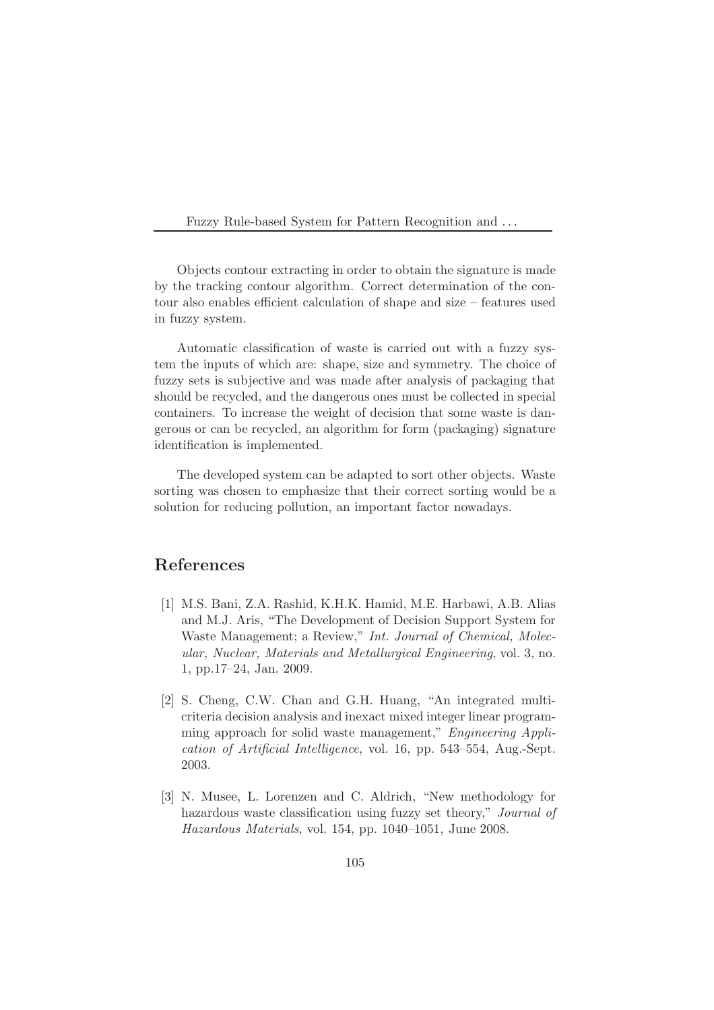Objects contour extracting in order to obtain the signature is made by the tracking contour algorithm. Correct determination of the contour also enables efficient calculation of shape and size – features used in fuzzy system.

Automatic classification of waste is carried out with a fuzzy system the inputs of which are: shape, size and symmetry. The choice of fuzzy sets is subjective and was made after analysis of packaging that should be recycled, and the dangerous ones must be collected in special containers. To increase the weight of decision that some waste is dangerous or can be recycled, an algorithm for form (packaging) signature identification is implemented.

The developed system can be adapted to sort other objects. Waste sorting was chosen to emphasize that their correct sorting would be a solution for reducing pollution, an important factor nowadays.

### References

- [1] M.S. Bani, Z.A. Rashid, K.H.K. Hamid, M.E. Harbawi, A.B. Alias and M.J. Aris, "The Development of Decision Support System for Waste Management; a Review," *Int. Journal of Chemical, Molecular, Nuclear, Materials and Metallurgical Engineering*, vol. 3, no. 1, pp.17–24, Jan. 2009.
- [2] S. Cheng, C.W. Chan and G.H. Huang, "An integrated multicriteria decision analysis and inexact mixed integer linear programming approach for solid waste management," *Engineering Application of Artificial Intelligence*, vol. 16, pp. 543–554, Aug.-Sept. 2003.
- [3] N. Musee, L. Lorenzen and C. Aldrich, "New methodology for hazardous waste classification using fuzzy set theory," *Journal of Hazardous Materials*, vol. 154, pp. 1040–1051, June 2008.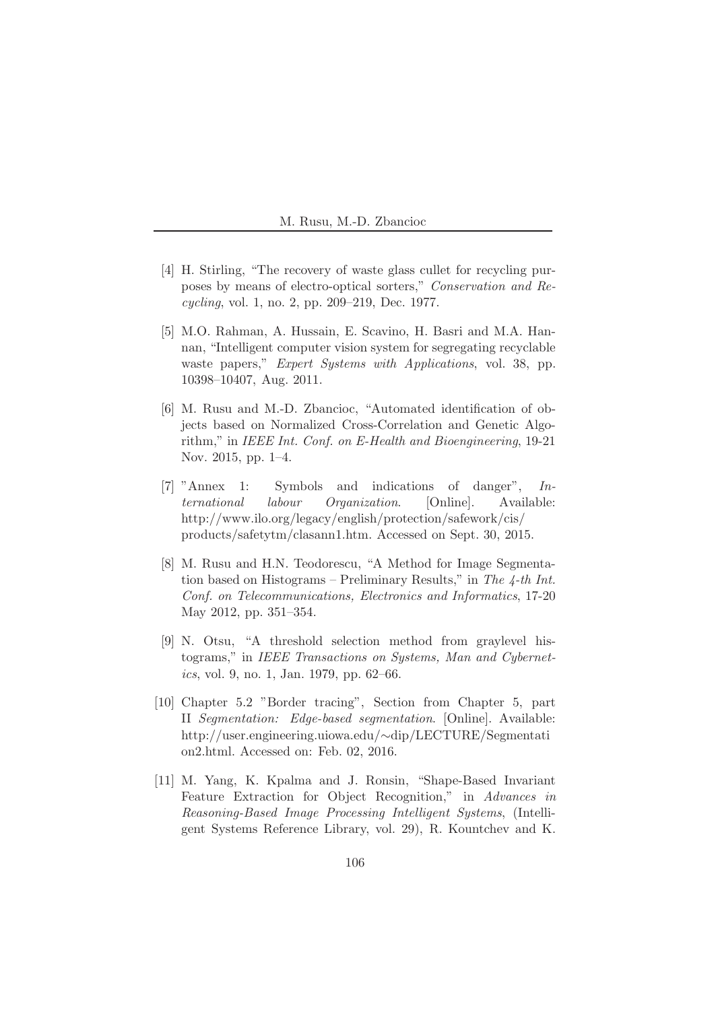- [4] H. Stirling, "The recovery of waste glass cullet for recycling purposes by means of electro-optical sorters," *Conservation and Recycling*, vol. 1, no. 2, pp. 209–219, Dec. 1977.
- [5] M.O. Rahman, A. Hussain, E. Scavino, H. Basri and M.A. Hannan, "Intelligent computer vision system for segregating recyclable waste papers," *Expert Systems with Applications*, vol. 38, pp. 10398–10407, Aug. 2011.
- [6] M. Rusu and M.-D. Zbancioc, "Automated identification of objects based on Normalized Cross-Correlation and Genetic Algorithm," in *IEEE Int. Conf. on E-Health and Bioengineering*, 19-21 Nov. 2015, pp. 1–4.
- [7] "Annex 1: Symbols and indications of danger", *International labour Organization*. [Online]. Available: http://www.ilo.org/legacy/english/protection/safework/cis/ products/safetytm/clasann1.htm. Accessed on Sept. 30, 2015.
- [8] M. Rusu and H.N. Teodorescu, "A Method for Image Segmentation based on Histograms – Preliminary Results," in *The 4-th Int. Conf. on Telecommunications, Electronics and Informatics*, 17-20 May 2012, pp. 351–354.
- [9] N. Otsu, "A threshold selection method from graylevel histograms," in *IEEE Transactions on Systems, Man and Cybernetics*, vol. 9, no. 1, Jan. 1979, pp. 62–66.
- [10] Chapter 5.2 "Border tracing", Section from Chapter 5, part II *Segmentation: Edge-based segmentation*. [Online]. Available: http://user.engineering.uiowa.edu/∼dip/LECTURE/Segmentati on2.html. Accessed on: Feb. 02, 2016.
- [11] M. Yang, K. Kpalma and J. Ronsin, "Shape-Based Invariant Feature Extraction for Object Recognition," in *Advances in Reasoning-Based Image Processing Intelligent Systems*, (Intelligent Systems Reference Library, vol. 29), R. Kountchev and K.